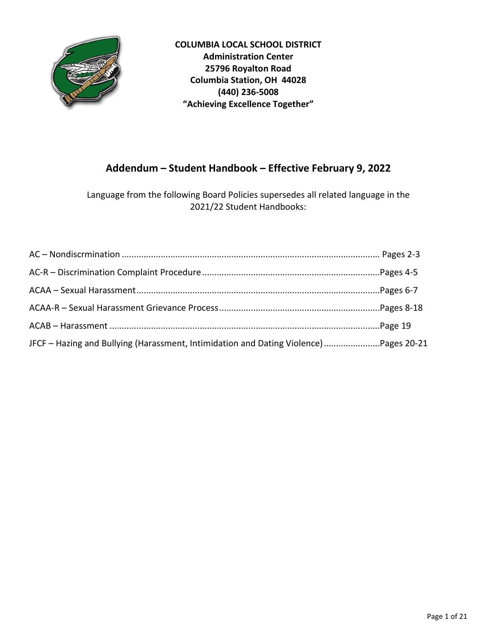

**COLUMBIA LOCAL SCHOOL DISTRICT Administration Center 25796 Royalton Road Columbia Station, OH 44028 (440) 236-5008 "Achieving Excellence Together"**

# **Addendum – Student Handbook – Effective February 9, 2022**

Language from the following Board Policies supersedes all related language in the 2021/22 Student Handbooks:

| JFCF - Hazing and Bullying (Harassment, Intimidation and Dating Violence)Pages 20-21 |  |
|--------------------------------------------------------------------------------------|--|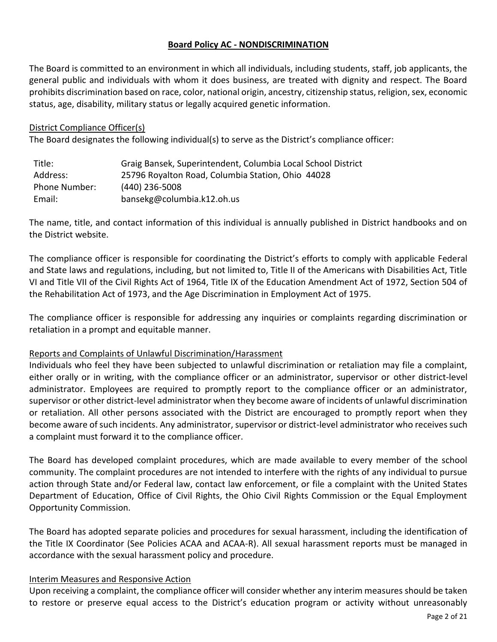# **Board Policy AC - NONDISCRIMINATION**

The Board is committed to an environment in which all individuals, including students, staff, job applicants, the general public and individuals with whom it does business, are treated with dignity and respect. The Board prohibits discrimination based on race, color, national origin, ancestry, citizenship status, religion, sex, economic status, age, disability, military status or legally acquired genetic information.

#### District Compliance Officer(s)

The Board designates the following individual(s) to serve as the District's compliance officer:

| Title:        | Graig Bansek, Superintendent, Columbia Local School District |
|---------------|--------------------------------------------------------------|
| Address:      | 25796 Royalton Road, Columbia Station, Ohio 44028            |
| Phone Number: | (440) 236-5008                                               |
| Email:        | bansekg@columbia.k12.oh.us                                   |

The name, title, and contact information of this individual is annually published in District handbooks and on the District website.

The compliance officer is responsible for coordinating the District's efforts to comply with applicable Federal and State laws and regulations, including, but not limited to, Title II of the Americans with Disabilities Act, Title VI and Title VII of the Civil Rights Act of 1964, Title IX of the Education Amendment Act of 1972, Section 504 of the Rehabilitation Act of 1973, and the Age Discrimination in Employment Act of 1975.

The compliance officer is responsible for addressing any inquiries or complaints regarding discrimination or retaliation in a prompt and equitable manner.

### Reports and Complaints of Unlawful Discrimination/Harassment

Individuals who feel they have been subjected to unlawful discrimination or retaliation may file a complaint, either orally or in writing, with the compliance officer or an administrator, supervisor or other district-level administrator. Employees are required to promptly report to the compliance officer or an administrator, supervisor or other district-level administrator when they become aware of incidents of unlawful discrimination or retaliation. All other persons associated with the District are encouraged to promptly report when they become aware of such incidents. Any administrator, supervisor or district-level administrator who receives such a complaint must forward it to the compliance officer.

The Board has developed complaint procedures, which are made available to every member of the school community. The complaint procedures are not intended to interfere with the rights of any individual to pursue action through State and/or Federal law, contact law enforcement, or file a complaint with the United States Department of Education, Office of Civil Rights, the Ohio Civil Rights Commission or the Equal Employment Opportunity Commission.

The Board has adopted separate policies and procedures for sexual harassment, including the identification of the Title IX Coordinator (See Policies ACAA and ACAA-R). All sexual harassment reports must be managed in accordance with the sexual harassment policy and procedure.

### Interim Measures and Responsive Action

Upon receiving a complaint, the compliance officer will consider whether any interim measures should be taken to restore or preserve equal access to the District's education program or activity without unreasonably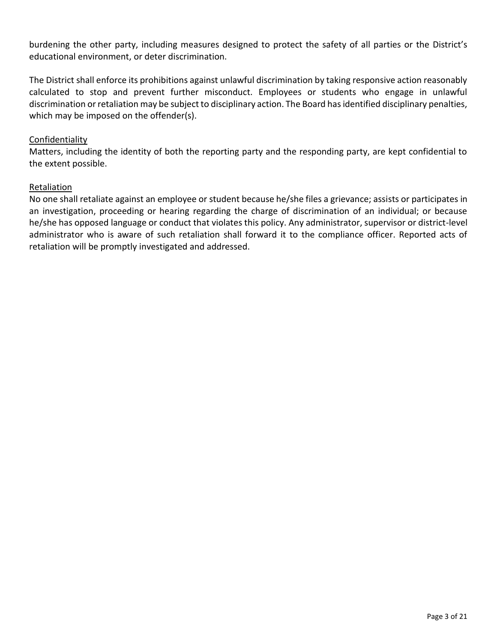burdening the other party, including measures designed to protect the safety of all parties or the District's educational environment, or deter discrimination.

The District shall enforce its prohibitions against unlawful discrimination by taking responsive action reasonably calculated to stop and prevent further misconduct. Employees or students who engage in unlawful discrimination or retaliation may be subject to disciplinary action. The Board has identified disciplinary penalties, which may be imposed on the offender(s).

### Confidentiality

Matters, including the identity of both the reporting party and the responding party, are kept confidential to the extent possible.

### Retaliation

No one shall retaliate against an employee or student because he/she files a grievance; assists or participates in an investigation, proceeding or hearing regarding the charge of discrimination of an individual; or because he/she has opposed language or conduct that violates this policy. Any administrator, supervisor or district-level administrator who is aware of such retaliation shall forward it to the compliance officer. Reported acts of retaliation will be promptly investigated and addressed.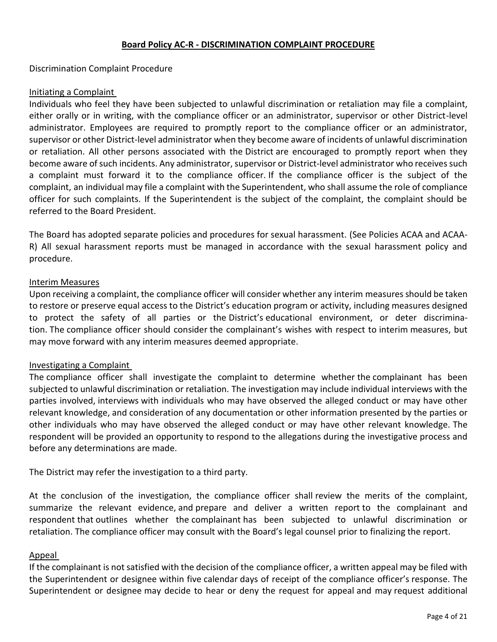#### **Board Policy AC-R - DISCRIMINATION COMPLAINT PROCEDURE**

Discrimination Complaint Procedure

#### Initiating a Complaint

Individuals who feel they have been subjected to unlawful discrimination or retaliation may file a complaint, either orally or in writing, with the compliance officer or an administrator, supervisor or other District-level administrator. Employees are required to promptly report to the compliance officer or an administrator, supervisor or other District-level administrator when they become aware of incidents of unlawful discrimination or retaliation. All other persons associated with the District are encouraged to promptly report when they become aware of such incidents. Any administrator, supervisor or District-level administrator who receives such a complaint must forward it to the compliance officer. If the compliance officer is the subject of the complaint, an individual may file a complaint with the Superintendent, who shall assume the role of compliance officer for such complaints. If the Superintendent is the subject of the complaint, the complaint should be referred to the Board President.

The Board has adopted separate policies and procedures for sexual harassment. (See Policies ACAA and ACAA-R) All sexual harassment reports must be managed in accordance with the sexual harassment policy and procedure.

#### Interim Measures

Upon receiving a complaint, the compliance officer will consider whether any interim measures should be taken to restore or preserve equal access to the District's education program or activity, including measures designed to protect the safety of all parties or the District's educational environment, or deter discrimination. The compliance officer should consider the complainant's wishes with respect to interim measures, but may move forward with any interim measures deemed appropriate.

### Investigating a Complaint

The compliance officer shall investigate the complaint to determine whether the complainant has been subjected to unlawful discrimination or retaliation. The investigation may include individual interviews with the parties involved, interviews with individuals who may have observed the alleged conduct or may have other relevant knowledge, and consideration of any documentation or other information presented by the parties or other individuals who may have observed the alleged conduct or may have other relevant knowledge. The respondent will be provided an opportunity to respond to the allegations during the investigative process and before any determinations are made.

The District may refer the investigation to a third party.

At the conclusion of the investigation, the compliance officer shall review the merits of the complaint, summarize the relevant evidence, and prepare and deliver a written report to the complainant and respondent that outlines whether the complainant has been subjected to unlawful discrimination or retaliation. The compliance officer may consult with the Board's legal counsel prior to finalizing the report.

#### Appeal

If the complainant is not satisfied with the decision of the compliance officer, a written appeal may be filed with the Superintendent or designee within five calendar days of receipt of the compliance officer's response. The Superintendent or designee may decide to hear or deny the request for appeal and may request additional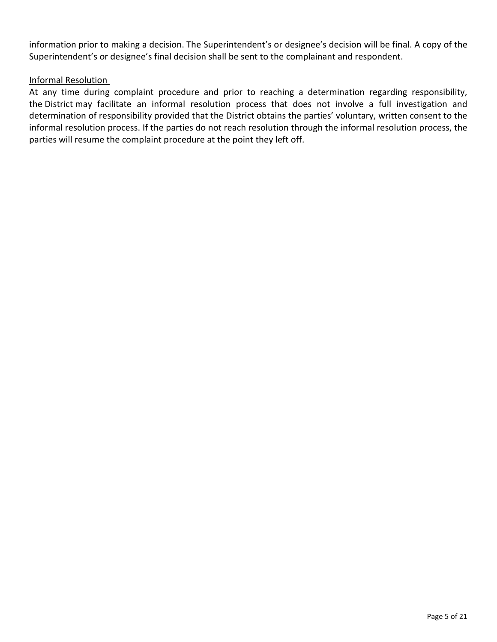information prior to making a decision. The Superintendent's or designee's decision will be final. A copy of the Superintendent's or designee's final decision shall be sent to the complainant and respondent.

# Informal Resolution

At any time during complaint procedure and prior to reaching a determination regarding responsibility, the District may facilitate an informal resolution process that does not involve a full investigation and determination of responsibility provided that the District obtains the parties' voluntary, written consent to the informal resolution process. If the parties do not reach resolution through the informal resolution process, the parties will resume the complaint procedure at the point they left off.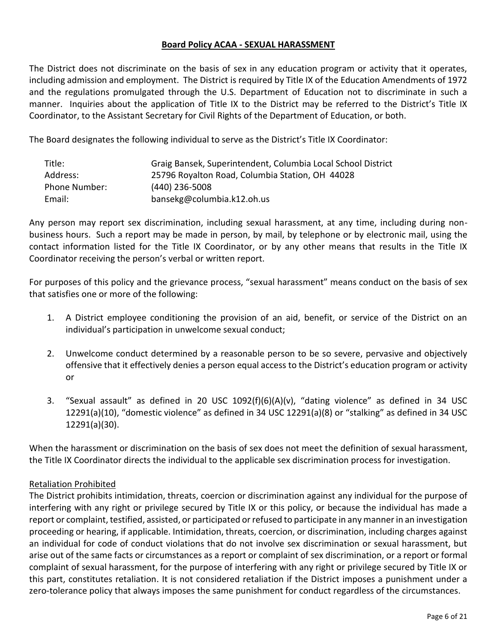### **Board Policy ACAA - SEXUAL HARASSMENT**

The District does not discriminate on the basis of sex in any education program or activity that it operates, including admission and employment. The District is required by Title IX of the Education Amendments of 1972 and the regulations promulgated through the U.S. Department of Education not to discriminate in such a manner. Inquiries about the application of Title IX to the District may be referred to the District's Title IX Coordinator, to the Assistant Secretary for Civil Rights of the Department of Education, or both.

The Board designates the following individual to serve as the District's Title IX Coordinator:

| Title:        | Graig Bansek, Superintendent, Columbia Local School District |
|---------------|--------------------------------------------------------------|
| Address:      | 25796 Royalton Road, Columbia Station, OH 44028              |
| Phone Number: | (440) 236-5008                                               |
| Email:        | bansekg@columbia.k12.oh.us                                   |

Any person may report sex discrimination, including sexual harassment, at any time, including during nonbusiness hours. Such a report may be made in person, by mail, by telephone or by electronic mail, using the contact information listed for the Title IX Coordinator, or by any other means that results in the Title IX Coordinator receiving the person's verbal or written report.

For purposes of this policy and the grievance process, "sexual harassment" means conduct on the basis of sex that satisfies one or more of the following:

- 1. A District employee conditioning the provision of an aid, benefit, or service of the District on an individual's participation in unwelcome sexual conduct;
- 2. Unwelcome conduct determined by a reasonable person to be so severe, pervasive and objectively offensive that it effectively denies a person equal access to the District's education program or activity or
- 3. "Sexual assault" as defined in 20 USC 1092(f)(6)(A)(v), "dating violence" as defined in 34 USC 12291(a)(10), "domestic violence" as defined in 34 USC 12291(a)(8) or "stalking" as defined in 34 USC 12291(a)(30).

When the harassment or discrimination on the basis of sex does not meet the definition of sexual harassment, the Title IX Coordinator directs the individual to the applicable sex discrimination process for investigation.

# Retaliation Prohibited

The District prohibits intimidation, threats, coercion or discrimination against any individual for the purpose of interfering with any right or privilege secured by Title IX or this policy, or because the individual has made a report or complaint, testified, assisted, or participated or refused to participate in any manner in an investigation proceeding or hearing, if applicable. Intimidation, threats, coercion, or discrimination, including charges against an individual for code of conduct violations that do not involve sex discrimination or sexual harassment, but arise out of the same facts or circumstances as a report or complaint of sex discrimination, or a report or formal complaint of sexual harassment, for the purpose of interfering with any right or privilege secured by Title IX or this part, constitutes retaliation. It is not considered retaliation if the District imposes a punishment under a zero-tolerance policy that always imposes the same punishment for conduct regardless of the circumstances.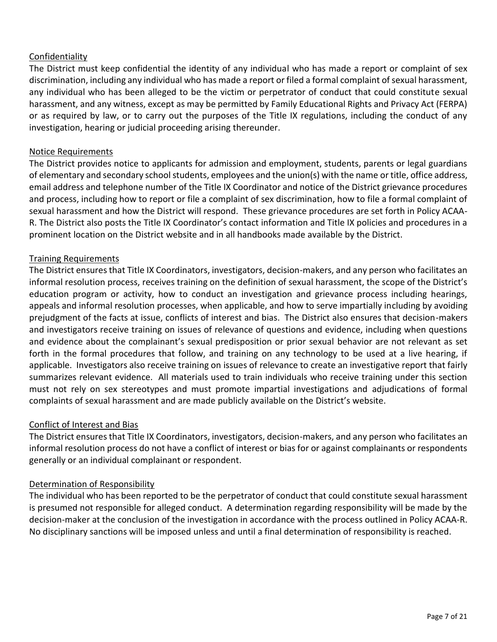# Confidentiality

The District must keep confidential the identity of any individual who has made a report or complaint of sex discrimination, including any individual who has made a report or filed a formal complaint of sexual harassment, any individual who has been alleged to be the victim or perpetrator of conduct that could constitute sexual harassment, and any witness, except as may be permitted by Family Educational Rights and Privacy Act (FERPA) or as required by law, or to carry out the purposes of the Title IX regulations, including the conduct of any investigation, hearing or judicial proceeding arising thereunder.

### Notice Requirements

The District provides notice to applicants for admission and employment, students, parents or legal guardians of elementary and secondary school students, employees and the union(s) with the name or title, office address, email address and telephone number of the Title IX Coordinator and notice of the District grievance procedures and process, including how to report or file a complaint of sex discrimination, how to file a formal complaint of sexual harassment and how the District will respond. These grievance procedures are set forth in Policy ACAA-R. The District also posts the Title IX Coordinator's contact information and Title IX policies and procedures in a prominent location on the District website and in all handbooks made available by the District.

# Training Requirements

The District ensures that Title IX Coordinators, investigators, decision-makers, and any person who facilitates an informal resolution process, receives training on the definition of sexual harassment, the scope of the District's education program or activity, how to conduct an investigation and grievance process including hearings, appeals and informal resolution processes, when applicable, and how to serve impartially including by avoiding prejudgment of the facts at issue, conflicts of interest and bias. The District also ensures that decision-makers and investigators receive training on issues of relevance of questions and evidence, including when questions and evidence about the complainant's sexual predisposition or prior sexual behavior are not relevant as set forth in the formal procedures that follow, and training on any technology to be used at a live hearing, if applicable. Investigators also receive training on issues of relevance to create an investigative report that fairly summarizes relevant evidence. All materials used to train individuals who receive training under this section must not rely on sex stereotypes and must promote impartial investigations and adjudications of formal complaints of sexual harassment and are made publicly available on the District's website.

# Conflict of Interest and Bias

The District ensures that Title IX Coordinators, investigators, decision-makers, and any person who facilitates an informal resolution process do not have a conflict of interest or bias for or against complainants or respondents generally or an individual complainant or respondent.

### Determination of Responsibility

The individual who has been reported to be the perpetrator of conduct that could constitute sexual harassment is presumed not responsible for alleged conduct. A determination regarding responsibility will be made by the decision-maker at the conclusion of the investigation in accordance with the process outlined in Policy ACAA-R. No disciplinary sanctions will be imposed unless and until a final determination of responsibility is reached.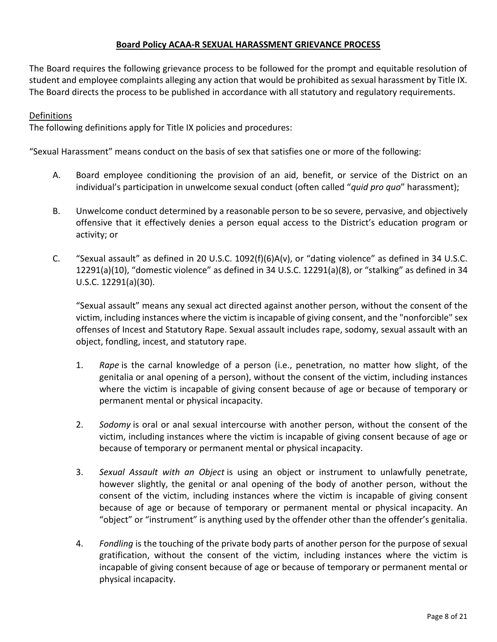### **Board Policy ACAA-R SEXUAL HARASSMENT GRIEVANCE PROCESS**

The Board requires the following grievance process to be followed for the prompt and equitable resolution of student and employee complaints alleging any action that would be prohibited as sexual harassment by Title IX. The Board directs the process to be published in accordance with all statutory and regulatory requirements.

# Definitions

The following definitions apply for Title IX policies and procedures:

"Sexual Harassment" means conduct on the basis of sex that satisfies one or more of the following:

- A. Board employee conditioning the provision of an aid, benefit, or service of the District on an individual's participation in unwelcome sexual conduct (often called "*quid pro quo*" harassment);
- B. Unwelcome conduct determined by a reasonable person to be so severe, pervasive, and objectively offensive that it effectively denies a person equal access to the District's education program or activity; or
- C. "Sexual assault" as defined in 20 U.S.C. 1092(f)(6)A(v), or "dating violence" as defined in 34 U.S.C. 12291(a)(10), "domestic violence" as defined in 34 U.S.C. 12291(a)(8), or "stalking" as defined in 34 U.S.C. 12291(a)(30).

"Sexual assault" means any sexual act directed against another person, without the consent of the victim, including instances where the victim is incapable of giving consent, and the "nonforcible" sex offenses of Incest and Statutory Rape. Sexual assault includes rape, sodomy, sexual assault with an object, fondling, incest, and statutory rape.

- 1. *Rape* is the carnal knowledge of a person (i.e., penetration, no matter how slight, of the genitalia or anal opening of a person), without the consent of the victim, including instances where the victim is incapable of giving consent because of age or because of temporary or permanent mental or physical incapacity.
- 2. *Sodomy* is oral or anal sexual intercourse with another person, without the consent of the victim, including instances where the victim is incapable of giving consent because of age or because of temporary or permanent mental or physical incapacity.
- 3. *Sexual Assault with an Object* is using an object or instrument to unlawfully penetrate, however slightly, the genital or anal opening of the body of another person, without the consent of the victim, including instances where the victim is incapable of giving consent because of age or because of temporary or permanent mental or physical incapacity. An "object" or "instrument" is anything used by the offender other than the offender's genitalia.
- 4. *Fondling* is the touching of the private body parts of another person for the purpose of sexual gratification, without the consent of the victim, including instances where the victim is incapable of giving consent because of age or because of temporary or permanent mental or physical incapacity.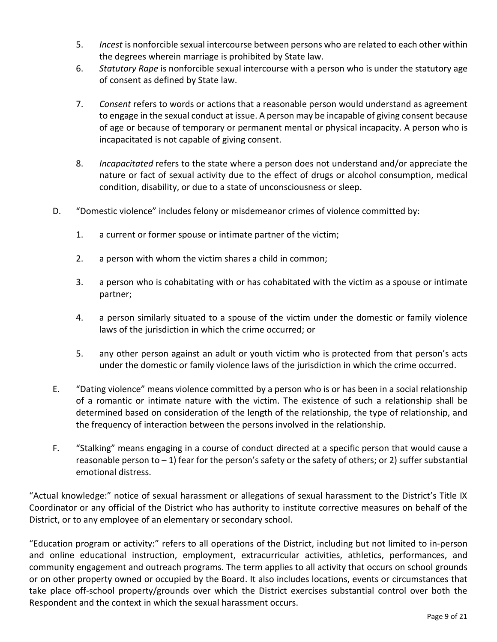- 5. *Incest* is nonforcible sexual intercourse between persons who are related to each other within the degrees wherein marriage is prohibited by State law.
- 6. *Statutory Rape* is nonforcible sexual intercourse with a person who is under the statutory age of consent as defined by State law.
- 7. *Consent* refers to words or actions that a reasonable person would understand as agreement to engage in the sexual conduct at issue. A person may be incapable of giving consent because of age or because of temporary or permanent mental or physical incapacity. A person who is incapacitated is not capable of giving consent.
- 8. *Incapacitated* refers to the state where a person does not understand and/or appreciate the nature or fact of sexual activity due to the effect of drugs or alcohol consumption, medical condition, disability, or due to a state of unconsciousness or sleep.
- D. "Domestic violence" includes felony or misdemeanor crimes of violence committed by:
	- 1. a current or former spouse or intimate partner of the victim;
	- 2. a person with whom the victim shares a child in common;
	- 3. a person who is cohabitating with or has cohabitated with the victim as a spouse or intimate partner;
	- 4. a person similarly situated to a spouse of the victim under the domestic or family violence laws of the jurisdiction in which the crime occurred; or
	- 5. any other person against an adult or youth victim who is protected from that person's acts under the domestic or family violence laws of the jurisdiction in which the crime occurred.
- E. "Dating violence" means violence committed by a person who is or has been in a social relationship of a romantic or intimate nature with the victim. The existence of such a relationship shall be determined based on consideration of the length of the relationship, the type of relationship, and the frequency of interaction between the persons involved in the relationship.
- F. "Stalking" means engaging in a course of conduct directed at a specific person that would cause a reasonable person to  $-1$ ) fear for the person's safety or the safety of others; or 2) suffer substantial emotional distress.

"Actual knowledge:" notice of sexual harassment or allegations of sexual harassment to the District's Title IX Coordinator or any official of the District who has authority to institute corrective measures on behalf of the District, or to any employee of an elementary or secondary school.

"Education program or activity:" refers to all operations of the District, including but not limited to in-person and online educational instruction, employment, extracurricular activities, athletics, performances, and community engagement and outreach programs. The term applies to all activity that occurs on school grounds or on other property owned or occupied by the Board. It also includes locations, events or circumstances that take place off-school property/grounds over which the District exercises substantial control over both the Respondent and the context in which the sexual harassment occurs.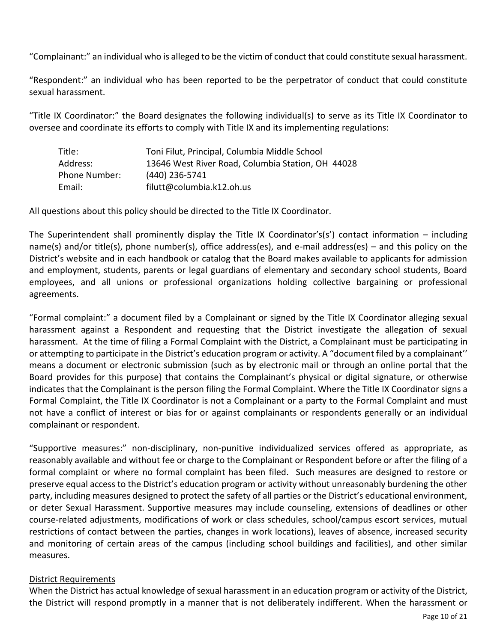"Complainant:" an individual who is alleged to be the victim of conduct that could constitute sexual harassment.

"Respondent:" an individual who has been reported to be the perpetrator of conduct that could constitute sexual harassment.

"Title IX Coordinator:" the Board designates the following individual(s) to serve as its Title IX Coordinator to oversee and coordinate its efforts to comply with Title IX and its implementing regulations:

| Title:        | Toni Filut, Principal, Columbia Middle School     |
|---------------|---------------------------------------------------|
| Address:      | 13646 West River Road, Columbia Station, OH 44028 |
| Phone Number: | (440) 236-5741                                    |
| Email:        | filutt@columbia.k12.oh.us                         |

All questions about this policy should be directed to the Title IX Coordinator.

The Superintendent shall prominently display the Title IX Coordinator's(s') contact information – including name(s) and/or title(s), phone number(s), office address(es), and e-mail address(es) – and this policy on the District's website and in each handbook or catalog that the Board makes available to applicants for admission and employment, students, parents or legal guardians of elementary and secondary school students, Board employees, and all unions or professional organizations holding collective bargaining or professional agreements.

"Formal complaint:" a document filed by a Complainant or signed by the Title IX Coordinator alleging sexual harassment against a Respondent and requesting that the District investigate the allegation of sexual harassment. At the time of filing a Formal Complaint with the District, a Complainant must be participating in or attempting to participate in the District's education program or activity. A "document filed by a complainant'' means a document or electronic submission (such as by electronic mail or through an online portal that the Board provides for this purpose) that contains the Complainant's physical or digital signature, or otherwise indicates that the Complainant is the person filing the Formal Complaint. Where the Title IX Coordinator signs a Formal Complaint, the Title IX Coordinator is not a Complainant or a party to the Formal Complaint and must not have a conflict of interest or bias for or against complainants or respondents generally or an individual complainant or respondent.

"Supportive measures:" non-disciplinary, non-punitive individualized services offered as appropriate, as reasonably available and without fee or charge to the Complainant or Respondent before or after the filing of a formal complaint or where no formal complaint has been filed. Such measures are designed to restore or preserve equal access to the District's education program or activity without unreasonably burdening the other party, including measures designed to protect the safety of all parties or the District's educational environment, or deter Sexual Harassment. Supportive measures may include counseling, extensions of deadlines or other course-related adjustments, modifications of work or class schedules, school/campus escort services, mutual restrictions of contact between the parties, changes in work locations), leaves of absence, increased security and monitoring of certain areas of the campus (including school buildings and facilities), and other similar measures.

# District Requirements

When the District has actual knowledge of sexual harassment in an education program or activity of the District, the District will respond promptly in a manner that is not deliberately indifferent. When the harassment or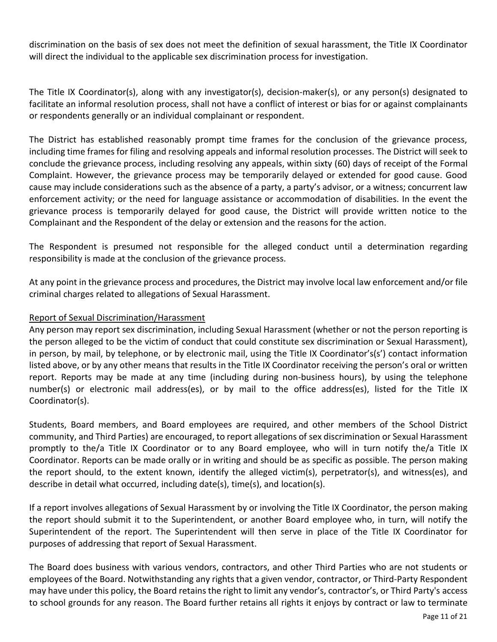discrimination on the basis of sex does not meet the definition of sexual harassment, the Title IX Coordinator will direct the individual to the applicable sex discrimination process for investigation.

The Title IX Coordinator(s), along with any investigator(s), decision-maker(s), or any person(s) designated to facilitate an informal resolution process, shall not have a conflict of interest or bias for or against complainants or respondents generally or an individual complainant or respondent.

The District has established reasonably prompt time frames for the conclusion of the grievance process, including time frames for filing and resolving appeals and informal resolution processes. The District will seek to conclude the grievance process, including resolving any appeals, within sixty (60) days of receipt of the Formal Complaint. However, the grievance process may be temporarily delayed or extended for good cause. Good cause may include considerations such as the absence of a party, a party's advisor, or a witness; concurrent law enforcement activity; or the need for language assistance or accommodation of disabilities. In the event the grievance process is temporarily delayed for good cause, the District will provide written notice to the Complainant and the Respondent of the delay or extension and the reasons for the action.

The Respondent is presumed not responsible for the alleged conduct until a determination regarding responsibility is made at the conclusion of the grievance process.

At any point in the grievance process and procedures, the District may involve local law enforcement and/or file criminal charges related to allegations of Sexual Harassment.

# Report of Sexual Discrimination/Harassment

Any person may report sex discrimination, including Sexual Harassment (whether or not the person reporting is the person alleged to be the victim of conduct that could constitute sex discrimination or Sexual Harassment), in person, by mail, by telephone, or by electronic mail, using the Title IX Coordinator's(s') contact information listed above, or by any other means that results in the Title IX Coordinator receiving the person's oral or written report. Reports may be made at any time (including during non-business hours), by using the telephone number(s) or electronic mail address(es), or by mail to the office address(es), listed for the Title IX Coordinator(s).

Students, Board members, and Board employees are required, and other members of the School District community, and Third Parties) are encouraged, to report allegations of sex discrimination or Sexual Harassment promptly to the/a Title IX Coordinator or to any Board employee, who will in turn notify the/a Title IX Coordinator. Reports can be made orally or in writing and should be as specific as possible. The person making the report should, to the extent known, identify the alleged victim(s), perpetrator(s), and witness(es), and describe in detail what occurred, including date(s), time(s), and location(s).

If a report involves allegations of Sexual Harassment by or involving the Title IX Coordinator, the person making the report should submit it to the Superintendent, or another Board employee who, in turn, will notify the Superintendent of the report. The Superintendent will then serve in place of the Title IX Coordinator for purposes of addressing that report of Sexual Harassment.

The Board does business with various vendors, contractors, and other Third Parties who are not students or employees of the Board. Notwithstanding any rights that a given vendor, contractor, or Third-Party Respondent may have under this policy, the Board retainsthe right to limit any vendor's, contractor's, or Third Party's access to school grounds for any reason. The Board further retains all rights it enjoys by contract or law to terminate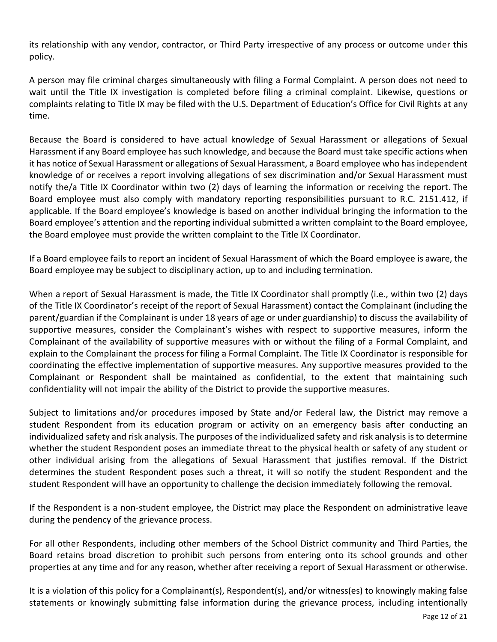its relationship with any vendor, contractor, or Third Party irrespective of any process or outcome under this policy.

A person may file criminal charges simultaneously with filing a Formal Complaint. A person does not need to wait until the Title IX investigation is completed before filing a criminal complaint. Likewise, questions or complaints relating to Title IX may be filed with the U.S. Department of Education's Office for Civil Rights at any time.

Because the Board is considered to have actual knowledge of Sexual Harassment or allegations of Sexual Harassment if any Board employee has such knowledge, and because the Board must take specific actions when it has notice of Sexual Harassment or allegations of Sexual Harassment, a Board employee who hasindependent knowledge of or receives a report involving allegations of sex discrimination and/or Sexual Harassment must notify the/a Title IX Coordinator within two (2) days of learning the information or receiving the report. The Board employee must also comply with mandatory reporting responsibilities pursuant to R.C. 2151.412, if applicable. If the Board employee's knowledge is based on another individual bringing the information to the Board employee's attention and the reporting individual submitted a written complaint to the Board employee, the Board employee must provide the written complaint to the Title IX Coordinator.

If a Board employee fails to report an incident of Sexual Harassment of which the Board employee is aware, the Board employee may be subject to disciplinary action, up to and including termination.

When a report of Sexual Harassment is made, the Title IX Coordinator shall promptly (i.e., within two (2) days of the Title IX Coordinator's receipt of the report of Sexual Harassment) contact the Complainant (including the parent/guardian if the Complainant is under 18 years of age or under guardianship) to discuss the availability of supportive measures, consider the Complainant's wishes with respect to supportive measures, inform the Complainant of the availability of supportive measures with or without the filing of a Formal Complaint, and explain to the Complainant the process for filing a Formal Complaint. The Title IX Coordinator is responsible for coordinating the effective implementation of supportive measures. Any supportive measures provided to the Complainant or Respondent shall be maintained as confidential, to the extent that maintaining such confidentiality will not impair the ability of the District to provide the supportive measures.

Subject to limitations and/or procedures imposed by State and/or Federal law, the District may remove a student Respondent from its education program or activity on an emergency basis after conducting an individualized safety and risk analysis. The purposes of the individualized safety and risk analysis is to determine whether the student Respondent poses an immediate threat to the physical health or safety of any student or other individual arising from the allegations of Sexual Harassment that justifies removal. If the District determines the student Respondent poses such a threat, it will so notify the student Respondent and the student Respondent will have an opportunity to challenge the decision immediately following the removal.

If the Respondent is a non-student employee, the District may place the Respondent on administrative leave during the pendency of the grievance process.

For all other Respondents, including other members of the School District community and Third Parties, the Board retains broad discretion to prohibit such persons from entering onto its school grounds and other properties at any time and for any reason, whether after receiving a report of Sexual Harassment or otherwise.

It is a violation of this policy for a Complainant(s), Respondent(s), and/or witness(es) to knowingly making false statements or knowingly submitting false information during the grievance process, including intentionally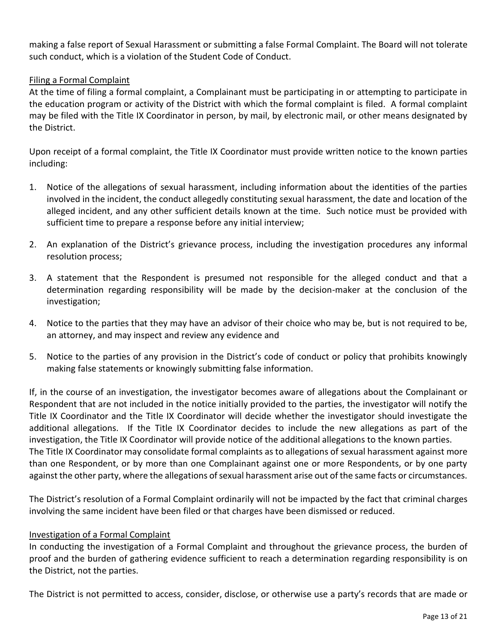making a false report of Sexual Harassment or submitting a false Formal Complaint. The Board will not tolerate such conduct, which is a violation of the Student Code of Conduct.

# Filing a Formal Complaint

At the time of filing a formal complaint, a Complainant must be participating in or attempting to participate in the education program or activity of the District with which the formal complaint is filed. A formal complaint may be filed with the Title IX Coordinator in person, by mail, by electronic mail, or other means designated by the District.

Upon receipt of a formal complaint, the Title IX Coordinator must provide written notice to the known parties including:

- 1. Notice of the allegations of sexual harassment, including information about the identities of the parties involved in the incident, the conduct allegedly constituting sexual harassment, the date and location of the alleged incident, and any other sufficient details known at the time. Such notice must be provided with sufficient time to prepare a response before any initial interview;
- 2. An explanation of the District's grievance process, including the investigation procedures any informal resolution process;
- 3. A statement that the Respondent is presumed not responsible for the alleged conduct and that a determination regarding responsibility will be made by the decision-maker at the conclusion of the investigation;
- 4. Notice to the parties that they may have an advisor of their choice who may be, but is not required to be, an attorney, and may inspect and review any evidence and
- 5. Notice to the parties of any provision in the District's code of conduct or policy that prohibits knowingly making false statements or knowingly submitting false information.

If, in the course of an investigation, the investigator becomes aware of allegations about the Complainant or Respondent that are not included in the notice initially provided to the parties, the investigator will notify the Title IX Coordinator and the Title IX Coordinator will decide whether the investigator should investigate the additional allegations. If the Title IX Coordinator decides to include the new allegations as part of the investigation, the Title IX Coordinator will provide notice of the additional allegations to the known parties. The Title IX Coordinator may consolidate formal complaints as to allegations of sexual harassment against more than one Respondent, or by more than one Complainant against one or more Respondents, or by one party against the other party, where the allegations of sexual harassment arise out of the same facts or circumstances.

The District's resolution of a Formal Complaint ordinarily will not be impacted by the fact that criminal charges involving the same incident have been filed or that charges have been dismissed or reduced.

### Investigation of a Formal Complaint

In conducting the investigation of a Formal Complaint and throughout the grievance process, the burden of proof and the burden of gathering evidence sufficient to reach a determination regarding responsibility is on the District, not the parties.

The District is not permitted to access, consider, disclose, or otherwise use a party's records that are made or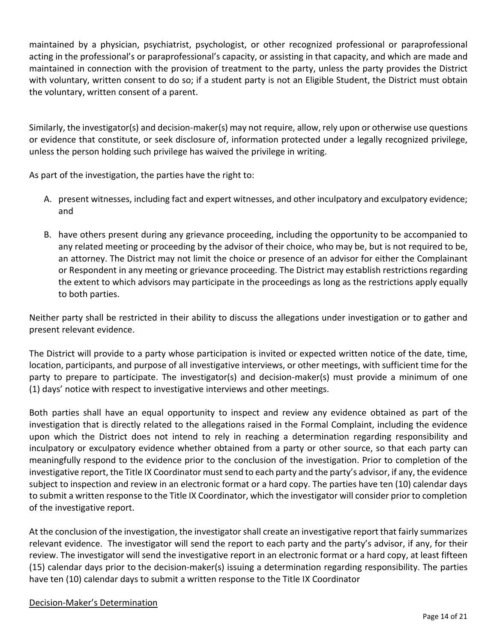maintained by a physician, psychiatrist, psychologist, or other recognized professional or paraprofessional acting in the professional's or paraprofessional's capacity, or assisting in that capacity, and which are made and maintained in connection with the provision of treatment to the party, unless the party provides the District with voluntary, written consent to do so; if a student party is not an Eligible Student, the District must obtain the voluntary, written consent of a parent.

Similarly, the investigator(s) and decision-maker(s) may not require, allow, rely upon or otherwise use questions or evidence that constitute, or seek disclosure of, information protected under a legally recognized privilege, unless the person holding such privilege has waived the privilege in writing.

As part of the investigation, the parties have the right to:

- A. present witnesses, including fact and expert witnesses, and other inculpatory and exculpatory evidence; and
- B. have others present during any grievance proceeding, including the opportunity to be accompanied to any related meeting or proceeding by the advisor of their choice, who may be, but is not required to be, an attorney. The District may not limit the choice or presence of an advisor for either the Complainant or Respondent in any meeting or grievance proceeding. The District may establish restrictions regarding the extent to which advisors may participate in the proceedings as long as the restrictions apply equally to both parties.

Neither party shall be restricted in their ability to discuss the allegations under investigation or to gather and present relevant evidence.

The District will provide to a party whose participation is invited or expected written notice of the date, time, location, participants, and purpose of all investigative interviews, or other meetings, with sufficient time for the party to prepare to participate. The investigator(s) and decision-maker(s) must provide a minimum of one (1) days' notice with respect to investigative interviews and other meetings.

Both parties shall have an equal opportunity to inspect and review any evidence obtained as part of the investigation that is directly related to the allegations raised in the Formal Complaint, including the evidence upon which the District does not intend to rely in reaching a determination regarding responsibility and inculpatory or exculpatory evidence whether obtained from a party or other source, so that each party can meaningfully respond to the evidence prior to the conclusion of the investigation. Prior to completion of the investigative report, the Title IX Coordinator must send to each party and the party's advisor, if any, the evidence subject to inspection and review in an electronic format or a hard copy. The parties have ten (10) calendar days to submit a written response to the Title IX Coordinator, which the investigator will consider prior to completion of the investigative report.

At the conclusion of the investigation, the investigator shall create an investigative report that fairly summarizes relevant evidence. The investigator will send the report to each party and the party's advisor, if any, for their review. The investigator will send the investigative report in an electronic format or a hard copy, at least fifteen (15) calendar days prior to the decision-maker(s) issuing a determination regarding responsibility. The parties have ten (10) calendar days to submit a written response to the Title IX Coordinator

### Decision-Maker's Determination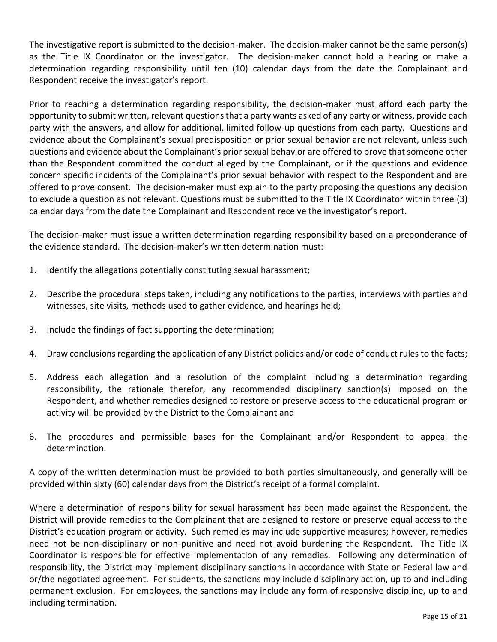The investigative report is submitted to the decision-maker. The decision-maker cannot be the same person(s) as the Title IX Coordinator or the investigator. The decision-maker cannot hold a hearing or make a determination regarding responsibility until ten (10) calendar days from the date the Complainant and Respondent receive the investigator's report.

Prior to reaching a determination regarding responsibility, the decision-maker must afford each party the opportunity to submit written, relevant questions that a party wants asked of any party or witness, provide each party with the answers, and allow for additional, limited follow-up questions from each party. Questions and evidence about the Complainant's sexual predisposition or prior sexual behavior are not relevant, unless such questions and evidence about the Complainant's prior sexual behavior are offered to prove that someone other than the Respondent committed the conduct alleged by the Complainant, or if the questions and evidence concern specific incidents of the Complainant's prior sexual behavior with respect to the Respondent and are offered to prove consent. The decision-maker must explain to the party proposing the questions any decision to exclude a question as not relevant. Questions must be submitted to the Title IX Coordinator within three (3) calendar days from the date the Complainant and Respondent receive the investigator's report.

The decision-maker must issue a written determination regarding responsibility based on a preponderance of the evidence standard. The decision-maker's written determination must:

- 1. Identify the allegations potentially constituting sexual harassment;
- 2. Describe the procedural steps taken, including any notifications to the parties, interviews with parties and witnesses, site visits, methods used to gather evidence, and hearings held;
- 3. Include the findings of fact supporting the determination;
- 4. Draw conclusions regarding the application of any District policies and/or code of conduct rules to the facts;
- 5. Address each allegation and a resolution of the complaint including a determination regarding responsibility, the rationale therefor, any recommended disciplinary sanction(s) imposed on the Respondent, and whether remedies designed to restore or preserve access to the educational program or activity will be provided by the District to the Complainant and
- 6. The procedures and permissible bases for the Complainant and/or Respondent to appeal the determination.

A copy of the written determination must be provided to both parties simultaneously, and generally will be provided within sixty (60) calendar days from the District's receipt of a formal complaint.

Where a determination of responsibility for sexual harassment has been made against the Respondent, the District will provide remedies to the Complainant that are designed to restore or preserve equal access to the District's education program or activity. Such remedies may include supportive measures; however, remedies need not be non-disciplinary or non-punitive and need not avoid burdening the Respondent. The Title IX Coordinator is responsible for effective implementation of any remedies. Following any determination of responsibility, the District may implement disciplinary sanctions in accordance with State or Federal law and or/the negotiated agreement. For students, the sanctions may include disciplinary action, up to and including permanent exclusion. For employees, the sanctions may include any form of responsive discipline, up to and including termination.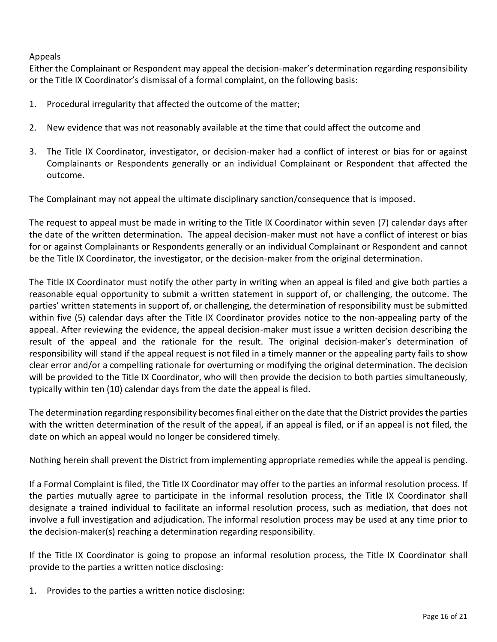# Appeals

Either the Complainant or Respondent may appeal the decision-maker's determination regarding responsibility or the Title IX Coordinator's dismissal of a formal complaint, on the following basis:

- 1. Procedural irregularity that affected the outcome of the matter;
- 2. New evidence that was not reasonably available at the time that could affect the outcome and
- 3. The Title IX Coordinator, investigator, or decision-maker had a conflict of interest or bias for or against Complainants or Respondents generally or an individual Complainant or Respondent that affected the outcome.

The Complainant may not appeal the ultimate disciplinary sanction/consequence that is imposed.

The request to appeal must be made in writing to the Title IX Coordinator within seven (7) calendar days after the date of the written determination. The appeal decision-maker must not have a conflict of interest or bias for or against Complainants or Respondents generally or an individual Complainant or Respondent and cannot be the Title IX Coordinator, the investigator, or the decision-maker from the original determination.

The Title IX Coordinator must notify the other party in writing when an appeal is filed and give both parties a reasonable equal opportunity to submit a written statement in support of, or challenging, the outcome. The parties' written statements in support of, or challenging, the determination of responsibility must be submitted within five (5) calendar days after the Title IX Coordinator provides notice to the non-appealing party of the appeal. After reviewing the evidence, the appeal decision-maker must issue a written decision describing the result of the appeal and the rationale for the result. The original decision-maker's determination of responsibility will stand if the appeal request is not filed in a timely manner or the appealing party fails to show clear error and/or a compelling rationale for overturning or modifying the original determination. The decision will be provided to the Title IX Coordinator, who will then provide the decision to both parties simultaneously, typically within ten (10) calendar days from the date the appeal is filed.

The determination regarding responsibility becomes final either on the date that the District provides the parties with the written determination of the result of the appeal, if an appeal is filed, or if an appeal is not filed, the date on which an appeal would no longer be considered timely.

Nothing herein shall prevent the District from implementing appropriate remedies while the appeal is pending.

If a Formal Complaint is filed, the Title IX Coordinator may offer to the parties an informal resolution process. If the parties mutually agree to participate in the informal resolution process, the Title IX Coordinator shall designate a trained individual to facilitate an informal resolution process, such as mediation, that does not involve a full investigation and adjudication. The informal resolution process may be used at any time prior to the decision-maker(s) reaching a determination regarding responsibility.

If the Title IX Coordinator is going to propose an informal resolution process, the Title IX Coordinator shall provide to the parties a written notice disclosing:

1. Provides to the parties a written notice disclosing: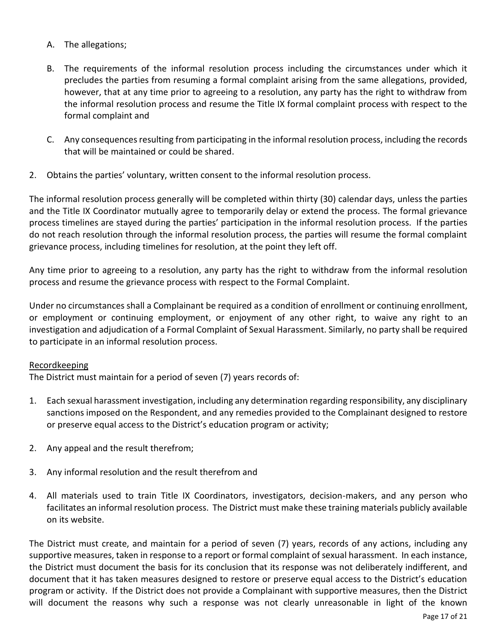- A. The allegations;
- B. The requirements of the informal resolution process including the circumstances under which it precludes the parties from resuming a formal complaint arising from the same allegations, provided, however, that at any time prior to agreeing to a resolution, any party has the right to withdraw from the informal resolution process and resume the Title IX formal complaint process with respect to the formal complaint and
- C. Any consequences resulting from participating in the informal resolution process, including the records that will be maintained or could be shared.
- 2. Obtains the parties' voluntary, written consent to the informal resolution process.

The informal resolution process generally will be completed within thirty (30) calendar days, unless the parties and the Title IX Coordinator mutually agree to temporarily delay or extend the process. The formal grievance process timelines are stayed during the parties' participation in the informal resolution process. If the parties do not reach resolution through the informal resolution process, the parties will resume the formal complaint grievance process, including timelines for resolution, at the point they left off.

Any time prior to agreeing to a resolution, any party has the right to withdraw from the informal resolution process and resume the grievance process with respect to the Formal Complaint.

Under no circumstances shall a Complainant be required as a condition of enrollment or continuing enrollment, or employment or continuing employment, or enjoyment of any other right, to waive any right to an investigation and adjudication of a Formal Complaint of Sexual Harassment. Similarly, no party shall be required to participate in an informal resolution process.

### Recordkeeping

The District must maintain for a period of seven (7) years records of:

- 1. Each sexual harassment investigation, including any determination regarding responsibility, any disciplinary sanctions imposed on the Respondent, and any remedies provided to the Complainant designed to restore or preserve equal access to the District's education program or activity;
- 2. Any appeal and the result therefrom;
- 3. Any informal resolution and the result therefrom and
- 4. All materials used to train Title IX Coordinators, investigators, decision-makers, and any person who facilitates an informal resolution process. The District must make these training materials publicly available on its website.

The District must create, and maintain for a period of seven (7) years, records of any actions, including any supportive measures, taken in response to a report or formal complaint of sexual harassment. In each instance, the District must document the basis for its conclusion that its response was not deliberately indifferent, and document that it has taken measures designed to restore or preserve equal access to the District's education program or activity. If the District does not provide a Complainant with supportive measures, then the District will document the reasons why such a response was not clearly unreasonable in light of the known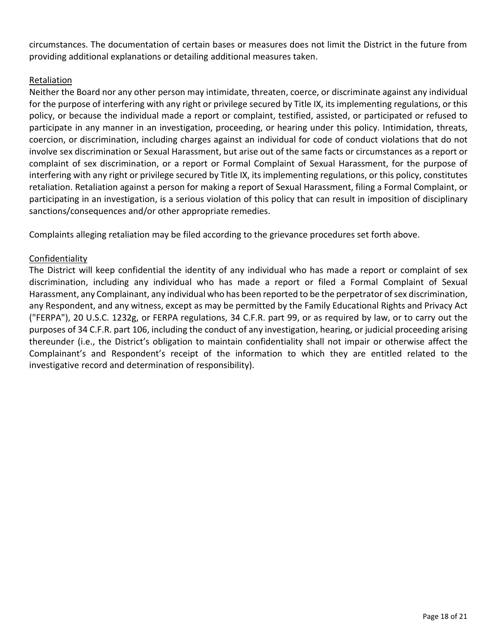circumstances. The documentation of certain bases or measures does not limit the District in the future from providing additional explanations or detailing additional measures taken.

# Retaliation

Neither the Board nor any other person may intimidate, threaten, coerce, or discriminate against any individual for the purpose of interfering with any right or privilege secured by Title IX, its implementing regulations, or this policy, or because the individual made a report or complaint, testified, assisted, or participated or refused to participate in any manner in an investigation, proceeding, or hearing under this policy. Intimidation, threats, coercion, or discrimination, including charges against an individual for code of conduct violations that do not involve sex discrimination or Sexual Harassment, but arise out of the same facts or circumstances as a report or complaint of sex discrimination, or a report or Formal Complaint of Sexual Harassment, for the purpose of interfering with any right or privilege secured by Title IX, its implementing regulations, or this policy, constitutes retaliation. Retaliation against a person for making a report of Sexual Harassment, filing a Formal Complaint, or participating in an investigation, is a serious violation of this policy that can result in imposition of disciplinary sanctions/consequences and/or other appropriate remedies.

Complaints alleging retaliation may be filed according to the grievance procedures set forth above.

# Confidentiality

The District will keep confidential the identity of any individual who has made a report or complaint of sex discrimination, including any individual who has made a report or filed a Formal Complaint of Sexual Harassment, any Complainant, any individual who has been reported to be the perpetrator of sex discrimination, any Respondent, and any witness, except as may be permitted by the Family Educational Rights and Privacy Act ("FERPA"), 20 U.S.C. 1232g, or FERPA regulations, 34 C.F.R. part 99, or as required by law, or to carry out the purposes of 34 C.F.R. part 106, including the conduct of any investigation, hearing, or judicial proceeding arising thereunder (i.e., the District's obligation to maintain confidentiality shall not impair or otherwise affect the Complainant's and Respondent's receipt of the information to which they are entitled related to the investigative record and determination of responsibility).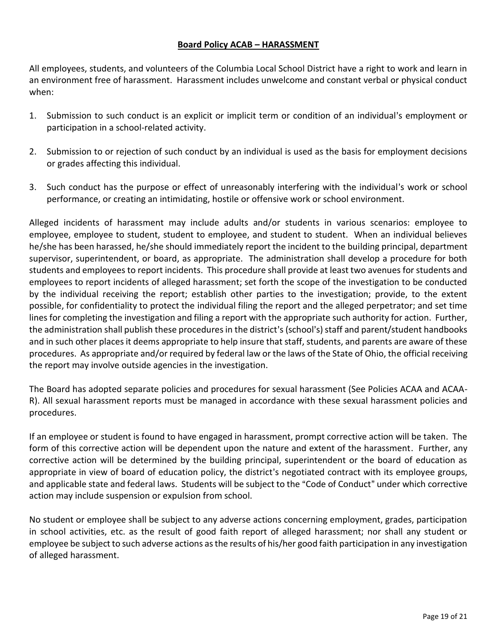# **Board Policy ACAB – HARASSMENT**

All employees, students, and volunteers of the Columbia Local School District have a right to work and learn in an environment free of harassment. Harassment includes unwelcome and constant verbal or physical conduct when:

- 1. Submission to such conduct is an explicit or implicit term or condition of an individual's employment or participation in a school-related activity.
- 2. Submission to or rejection of such conduct by an individual is used as the basis for employment decisions or grades affecting this individual.
- 3. Such conduct has the purpose or effect of unreasonably interfering with the individual's work or school performance, or creating an intimidating, hostile or offensive work or school environment.

Alleged incidents of harassment may include adults and/or students in various scenarios: employee to employee, employee to student, student to employee, and student to student. When an individual believes he/she has been harassed, he/she should immediately report the incident to the building principal, department supervisor, superintendent, or board, as appropriate. The administration shall develop a procedure for both students and employees to report incidents. This procedure shall provide at least two avenues for students and employees to report incidents of alleged harassment; set forth the scope of the investigation to be conducted by the individual receiving the report; establish other parties to the investigation; provide, to the extent possible, for confidentiality to protect the individual filing the report and the alleged perpetrator; and set time lines for completing the investigation and filing a report with the appropriate such authority for action. Further, the administration shall publish these procedures in the district's (school's) staff and parent/student handbooks and in such other places it deems appropriate to help insure that staff, students, and parents are aware of these procedures. As appropriate and/or required by federal law or the laws of the State of Ohio, the official receiving the report may involve outside agencies in the investigation.

The Board has adopted separate policies and procedures for sexual harassment (See Policies ACAA and ACAA-R). All sexual harassment reports must be managed in accordance with these sexual harassment policies and procedures.

If an employee or student is found to have engaged in harassment, prompt corrective action will be taken. The form of this corrective action will be dependent upon the nature and extent of the harassment. Further, any corrective action will be determined by the building principal, superintendent or the board of education as appropriate in view of board of education policy, the district's negotiated contract with its employee groups, and applicable state and federal laws. Students will be subject to the "Code of Conduct" under which corrective action may include suspension or expulsion from school.

No student or employee shall be subject to any adverse actions concerning employment, grades, participation in school activities, etc. as the result of good faith report of alleged harassment; nor shall any student or employee be subject to such adverse actions as the results of his/her good faith participation in any investigation of alleged harassment.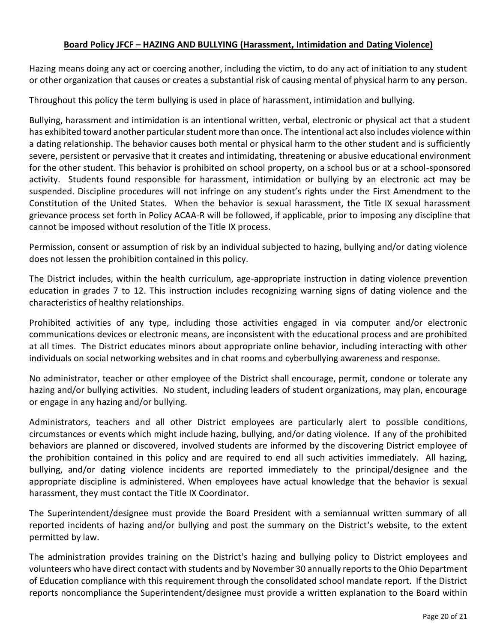# **Board Policy JFCF – HAZING AND BULLYING (Harassment, Intimidation and Dating Violence)**

Hazing means doing any act or coercing another, including the victim, to do any act of initiation to any student or other organization that causes or creates a substantial risk of causing mental of physical harm to any person.

Throughout this policy the term bullying is used in place of harassment, intimidation and bullying.

Bullying, harassment and intimidation is an intentional written, verbal, electronic or physical act that a student has exhibited toward another particular student more than once. The intentional act also includes violence within a dating relationship. The behavior causes both mental or physical harm to the other student and is sufficiently severe, persistent or pervasive that it creates and intimidating, threatening or abusive educational environment for the other student. This behavior is prohibited on school property, on a school bus or at a school-sponsored activity. Students found responsible for harassment, intimidation or bullying by an electronic act may be suspended. Discipline procedures will not infringe on any student's rights under the First Amendment to the Constitution of the United States. When the behavior is sexual harassment, the Title IX sexual harassment grievance process set forth in Policy ACAA-R will be followed, if applicable, prior to imposing any discipline that cannot be imposed without resolution of the Title IX process.

Permission, consent or assumption of risk by an individual subjected to hazing, bullying and/or dating violence does not lessen the prohibition contained in this policy.

The District includes, within the health curriculum, age-appropriate instruction in dating violence prevention education in grades 7 to 12. This instruction includes recognizing warning signs of dating violence and the characteristics of healthy relationships.

Prohibited activities of any type, including those activities engaged in via computer and/or electronic communications devices or electronic means, are inconsistent with the educational process and are prohibited at all times. The District educates minors about appropriate online behavior, including interacting with other individuals on social networking websites and in chat rooms and cyberbullying awareness and response.

No administrator, teacher or other employee of the District shall encourage, permit, condone or tolerate any hazing and/or bullying activities. No student, including leaders of student organizations, may plan, encourage or engage in any hazing and/or bullying.

Administrators, teachers and all other District employees are particularly alert to possible conditions, circumstances or events which might include hazing, bullying, and/or dating violence. If any of the prohibited behaviors are planned or discovered, involved students are informed by the discovering District employee of the prohibition contained in this policy and are required to end all such activities immediately. All hazing, bullying, and/or dating violence incidents are reported immediately to the principal/designee and the appropriate discipline is administered. When employees have actual knowledge that the behavior is sexual harassment, they must contact the Title IX Coordinator.

The Superintendent/designee must provide the Board President with a semiannual written summary of all reported incidents of hazing and/or bullying and post the summary on the District's website, to the extent permitted by law.

The administration provides training on the District's hazing and bullying policy to District employees and volunteers who have direct contact with students and by November 30 annually reports to the Ohio Department of Education compliance with this requirement through the consolidated school mandate report. If the District reports noncompliance the Superintendent/designee must provide a written explanation to the Board within